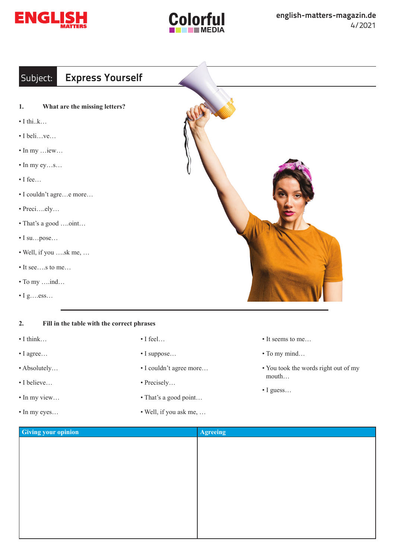



## Subject: **Express Yourself**

- **1. What are the missing letters?**
- $\bullet$  I thi..k…
- I beli…ve…
- In my …iew…
- In my ey…s…
- I fee…
- I couldn't agre…e more…
- Preci….ely…
- That's a good ….oint…
- I su…pose…
- Well, if you ….sk me, …
- It see….s to me…
- To my ….ind…
- $\bullet$  I g…ess…

## **2. Fill in the table with the correct phrases**

- I think…
- I agree…
- Absolutely…
- I believe…
- In my view…
- In my eyes…
- I feel…
- I suppose…
- I couldn't agree more…
- Precisely…
- That's a good point…
- Well, if you ask me, …
- It seems to me…
- To my mind…
- You took the words right out of my mouth…
- I guess…

| <b>Giving your opinion</b> | Agreeing |
|----------------------------|----------|
|                            |          |
|                            |          |
|                            |          |
|                            |          |
|                            |          |
|                            |          |
|                            |          |
|                            |          |
|                            |          |